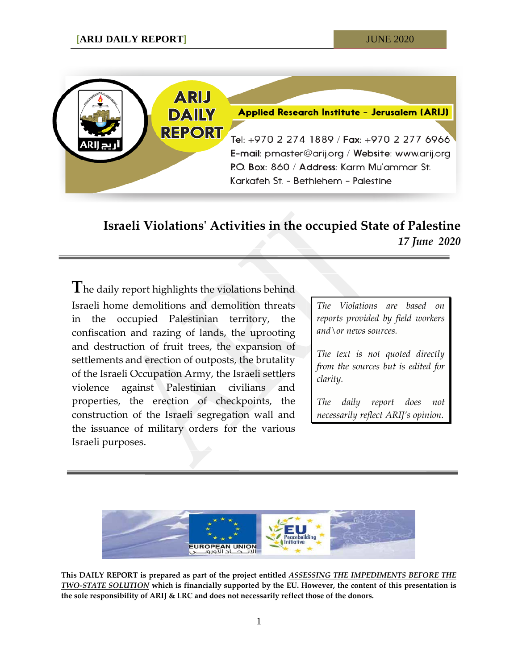

# **Israeli Violations' Activities in the occupied State of Palestine** *17 June 2020*

**T**he daily report highlights the violations behind Israeli home demolitions and demolition threats in the occupied Palestinian territory, the confiscation and razing of lands, the uprooting and destruction of fruit trees, the expansion of settlements and erection of outposts, the brutality of the Israeli Occupation Army, the Israeli settlers violence against Palestinian civilians and properties, the erection of checkpoints, the construction of the Israeli segregation wall and the issuance of military orders for the various Israeli purposes.

*The Violations are based on reports provided by field workers and\or news sources.*

*The text is not quoted directly from the sources but is edited for clarity.*

*The daily report does not necessarily reflect ARIJ's opinion.*



**This DAILY REPORT is prepared as part of the project entitled** *ASSESSING THE IMPEDIMENTS BEFORE THE TWO-STATE SOLUTION* **which is financially supported by the EU. However, the content of this presentation is the sole responsibility of ARIJ & LRC and does not necessarily reflect those of the donors.**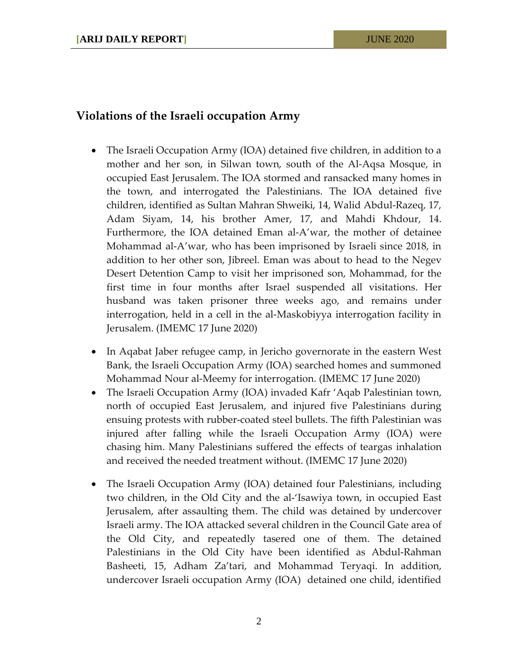# **Violations of the Israeli occupation Army**

- The Israeli Occupation Army (IOA) detained five children, in addition to a mother and her son, in Silwan town, south of the Al-Aqsa Mosque, in occupied East Jerusalem. The IOA stormed and ransacked many homes in the town, and interrogated the Palestinians. The IOA detained five children, identified as Sultan Mahran Shweiki, 14, Walid Abdul-Razeq, 17, Adam Siyam, 14, his brother Amer, 17, and Mahdi Khdour, 14. Furthermore, the IOA detained Eman al-A'war, the mother of detainee Mohammad al-A'war, who has been imprisoned by Israeli since 2018, in addition to her other son, Jibreel. Eman was about to head to the Negev Desert Detention Camp to visit her imprisoned son, Mohammad, for the first time in four months after Israel suspended all visitations. Her husband was taken prisoner three weeks ago, and remains under interrogation, held in a cell in the al-Maskobiyya interrogation facility in Jerusalem. (IMEMC 17 June 2020)
- In Aqabat Jaber refugee camp, in Jericho governorate in the eastern West Bank, the Israeli Occupation Army (IOA) searched homes and summoned Mohammad Nour al-Meemy for interrogation. (IMEMC 17 June 2020)
- The Israeli Occupation Army (IOA) invaded Kafr 'Aqab Palestinian town, north of occupied East Jerusalem, and injured five Palestinians during ensuing protests with rubber-coated steel bullets. The fifth Palestinian was injured after falling while the Israeli Occupation Army (IOA) were chasing him. Many Palestinians suffered the effects of teargas inhalation and received the needed treatment without. (IMEMC 17 June 2020)
- The Israeli Occupation Army (IOA) detained four Palestinians, including two children, in the Old City and the al-'Isawiya town, in occupied East Jerusalem, after assaulting them. The child was detained by undercover Israeli army. The IOA attacked several children in the Council Gate area of the Old City, and repeatedly tasered one of them. The detained Palestinians in the Old City have been identified as Abdul-Rahman Basheeti, 15, Adham Za'tari, and Mohammad Teryaqi. In addition, undercover Israeli occupation Army (IOA) detained one child, identified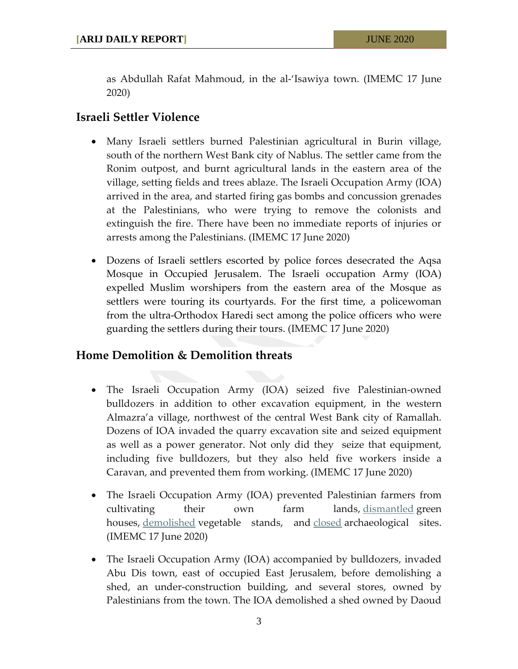as Abdullah Rafat Mahmoud, in the al-'Isawiya town. (IMEMC 17 June 2020)

# **Israeli Settler Violence**

- Many Israeli settlers burned Palestinian agricultural in Burin village, south of the northern West Bank city of Nablus. The settler came from the Ronim outpost, and burnt agricultural lands in the eastern area of the village, setting fields and trees ablaze. The Israeli Occupation Army (IOA) arrived in the area, and started firing gas bombs and concussion grenades at the Palestinians, who were trying to remove the colonists and extinguish the fire. There have been no immediate reports of injuries or arrests among the Palestinians. (IMEMC 17 June 2020)
- Dozens of Israeli settlers escorted by police forces desecrated the Aqsa Mosque in Occupied Jerusalem. The Israeli occupation Army (IOA) expelled Muslim worshipers from the eastern area of the Mosque as settlers were touring its courtyards. For the first time, a policewoman from the ultra-Orthodox Haredi sect among the police officers who were guarding the settlers during their tours. (IMEMC 17 June 2020)

#### **Home Demolition & Demolition threats**

- The Israeli Occupation Army (IOA) seized five Palestinian-owned bulldozers in addition to other excavation equipment, in the western Almazra'a village, northwest of the central West Bank city of Ramallah. Dozens of IOA invaded the quarry excavation site and seized equipment as well as a power generator. Not only did they seize that equipment, including five bulldozers, but they also held five workers inside a Caravan, and prevented them from working. (IMEMC 17 June 2020)
- The Israeli Occupation Army (IOA) prevented Palestinian farmers from cultivating their own farm lands, [dismantled](http://imemc.org/article/palestinian-tents-agricultural-structures-greenhouse-demolished-by-israeli-authorities/) green houses, [demolished](http://imemc.org/article/israeli-troops-demolish-palestinian-owned-stands-at-qalandia-checkpoint/) vegetable stands, and [closed](http://imemc.org/article/israeli-forces-close-an-archaeological-site-in-nablus-city/) archaeological sites. (IMEMC 17 June 2020)
- The Israeli Occupation Army (IOA) accompanied by bulldozers, invaded Abu Dis town, east of occupied East Jerusalem, before demolishing a shed, an under-construction building, and several stores, owned by Palestinians from the town. The IOA demolished a shed owned by Daoud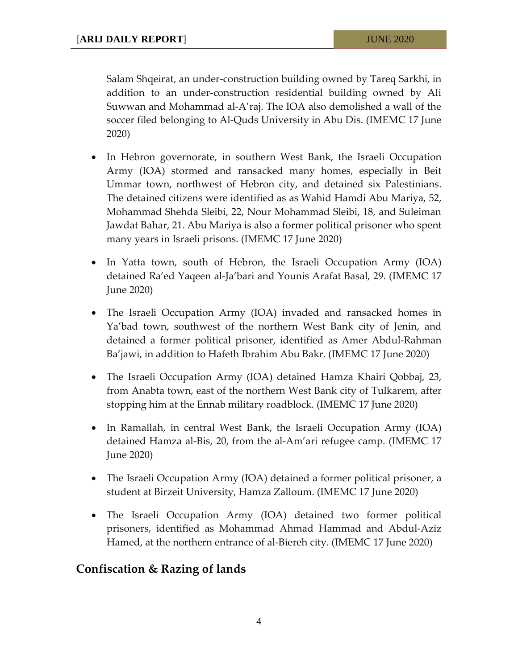Salam Shqeirat, an under-construction building owned by Tareq Sarkhi, in addition to an under-construction residential building owned by Ali Suwwan and Mohammad al-A'raj. The IOA also demolished a wall of the soccer filed belonging to Al-Quds University in Abu Dis. (IMEMC 17 June 2020)

- In Hebron governorate, in southern West Bank, the Israeli Occupation Army (IOA) stormed and ransacked many homes, especially in Beit Ummar town, northwest of Hebron city, and detained six Palestinians. The detained citizens were identified as as Wahid Hamdi Abu Mariya, 52, Mohammad Shehda Sleibi, 22, Nour Mohammad Sleibi, 18, and Suleiman Jawdat Bahar, 21. Abu Mariya is also a former political prisoner who spent many years in Israeli prisons. (IMEMC 17 June 2020)
- In Yatta town, south of Hebron, the Israeli Occupation Army (IOA) detained Ra'ed Yaqeen al-Ja'bari and Younis Arafat Basal, 29. (IMEMC 17 June 2020)
- The Israeli Occupation Army (IOA) invaded and ransacked homes in Ya'bad town, southwest of the northern West Bank city of Jenin, and detained a former political prisoner, identified as Amer Abdul-Rahman Ba'jawi, in addition to Hafeth Ibrahim Abu Bakr. (IMEMC 17 June 2020)
- The Israeli Occupation Army (IOA) detained Hamza Khairi Qobbaj, 23, from Anabta town, east of the northern West Bank city of Tulkarem, after stopping him at the Ennab military roadblock. (IMEMC 17 June 2020)
- In Ramallah, in central West Bank, the Israeli Occupation Army (IOA) detained Hamza al-Bis, 20, from the al-Am'ari refugee camp. (IMEMC 17 June 2020)
- The Israeli Occupation Army (IOA) detained a former political prisoner, a student at Birzeit University, Hamza Zalloum. (IMEMC 17 June 2020)
- The Israeli Occupation Army (IOA) detained two former political prisoners, identified as Mohammad Ahmad Hammad and Abdul-Aziz Hamed, at the northern entrance of al-Biereh city. (IMEMC 17 June 2020)

# **Confiscation & Razing of lands**